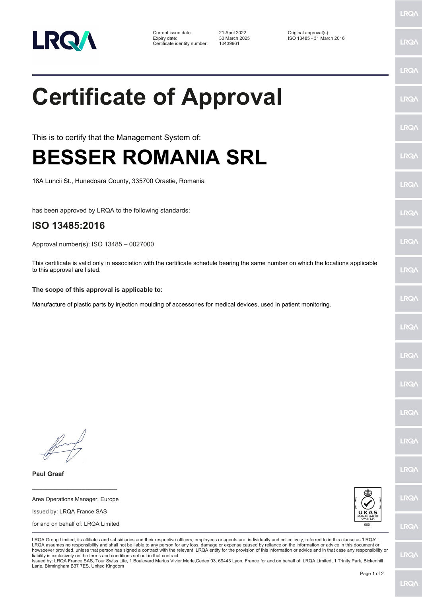

Current issue date: 21 April 2022 Original approval(s): Expiry date: 30 March 2025 ISO 13485 - 31 March 2016 Certificate identity number: 10439961

## **Certificate of Approval**

This is to certify that the Management System of:

## **BESSER ROMANIA SRL**

18A Luncii St., Hunedoara County, 335700 Orastie, Romania

has been approved by LRQA to the following standards:

## **ISO 13485:2016**

Approval number(s): ISO 13485 – 0027000

This certificate is valid only in association with the certificate schedule bearing the same number on which the locations applicable to this approval are listed.

**The scope of this approval is applicable to:**

Manufacture of plastic parts by injection moulding of accessories for medical devices, used in patient monitoring.

**Paul Graaf**

Area Operations Manager, Europe Issued by: LRQA France SAS for and on behalf of: LRQA Limited

**\_\_\_\_\_\_\_\_\_\_\_\_\_\_\_\_\_\_\_\_\_\_\_\_**



LRQA Group Limited, its affiliates and subsidiaries and their respective officers, employees or agents are, individually and collectively, referred to in this clause as 'LRQA'. LRQA assumes no responsibility and shall not be liable to any person for any loss, damage or expense caused by reliance on the information or advice in this document or howsoever provided, unless that person has signed a contract with the relevant LRQA entity for the provision of this information or advice and in that case any responsibility or liability is exclusively on the terms and conditions set out in that contract.

Issued by: LRQA France SAS, Tour Swiss Life, 1 Boulevard Marius Vivier Merle,Cedex 03, 69443 Lyon, France for and on behalf of: LRQA Limited, 1 Trinity Park, Bickenhill Lane, Birmingham B37 7ES, United Kingdom

LRQ/

LRQ/

LRQ/

LRQ/

LRQ/

LRQ/

LRQ/

LRQ/

LRQ/

LRQ/

LRQ/

LRQ/

**LRQ/** 

LRQ/

LRQ/

LRQ/

LRQ/

LRQ/

LRQ/

LRQ/